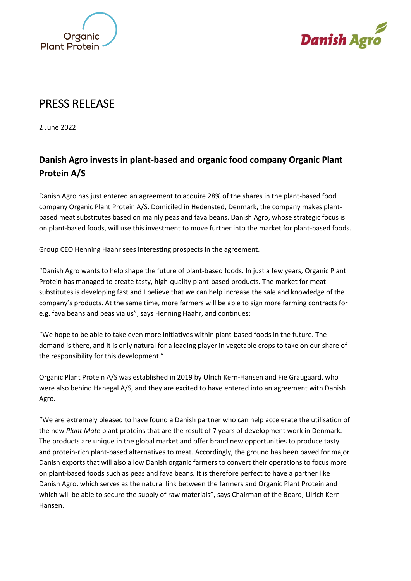



## PRESS RELEASE

2 June 2022

## **Danish Agro invests in plant-based and organic food company Organic Plant Protein A/S**

Danish Agro has just entered an agreement to acquire 28% of the shares in the plant-based food company Organic Plant Protein A/S. Domiciled in Hedensted, Denmark, the company makes plantbased meat substitutes based on mainly peas and fava beans. Danish Agro, whose strategic focus is on plant-based foods, will use this investment to move further into the market for plant-based foods.

Group CEO Henning Haahr sees interesting prospects in the agreement.

"Danish Agro wants to help shape the future of plant-based foods. In just a few years, Organic Plant Protein has managed to create tasty, high-quality plant-based products. The market for meat substitutes is developing fast and I believe that we can help increase the sale and knowledge of the company's products. At the same time, more farmers will be able to sign more farming contracts for e.g. fava beans and peas via us", says Henning Haahr, and continues:

"We hope to be able to take even more initiatives within plant-based foods in the future. The demand is there, and it is only natural for a leading player in vegetable crops to take on our share of the responsibility for this development."

Organic Plant Protein A/S was established in 2019 by Ulrich Kern-Hansen and Fie Graugaard, who were also behind Hanegal A/S, and they are excited to have entered into an agreement with Danish Agro.

"We are extremely pleased to have found a Danish partner who can help accelerate the utilisation of the new *Plant Mate* plant proteins that are the result of 7 years of development work in Denmark. The products are unique in the global market and offer brand new opportunities to produce tasty and protein-rich plant-based alternatives to meat. Accordingly, the ground has been paved for major Danish exports that will also allow Danish organic farmers to convert their operations to focus more on plant-based foods such as peas and fava beans. It is therefore perfect to have a partner like Danish Agro, which serves as the natural link between the farmers and Organic Plant Protein and which will be able to secure the supply of raw materials", says Chairman of the Board, Ulrich Kern-Hansen.